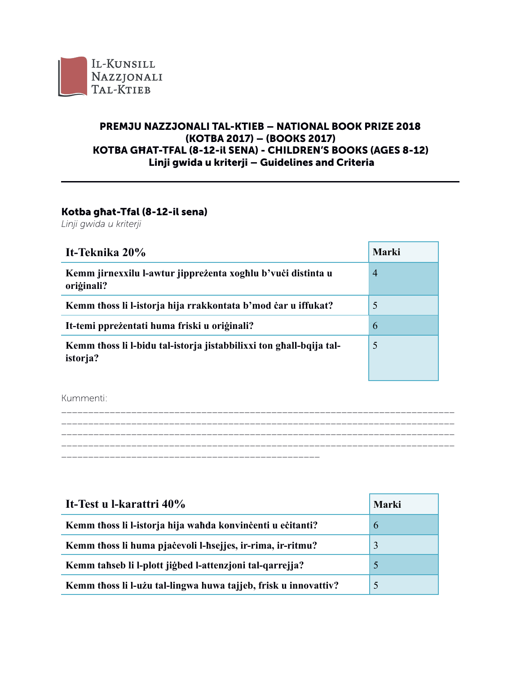

## **PREMJU NAZZJONALI TAL-KTIEB - NATIONAL BOOK PRIZE 2018** (KOTBA 2017) - (BOOKS 2017) KOTBA GHAT-TFAL (8-12-il SENA) - CHILDREN'S BOOKS (AGES 8-12) Linji gwida u kriterji - Guidelines and Criteria

## Kotba ghat-Tfal (8-12-il sena)

Linji gwida u kriterji

| It-Teknika 20%                                                                         | Marki          |
|----------------------------------------------------------------------------------------|----------------|
| Kemm jirnexxilu l-awtur jipprezenta xoghlu b'vuci distinta u<br>oriģinali?             | $\overline{4}$ |
| Kemm thoss li l-istorja hija rrakkontata b'mod čar u iffukat?                          | 5              |
| It-temi pprežentati huma friski u originali?                                           | 6              |
| Kemm thoss li l-bidu tal-istorja jistabbilixxi ton ghall-bqija tal-<br><i>istorja?</i> | 5              |

Kummenti:

\_\_\_\_\_\_\_\_\_\_\_\_\_\_\_\_\_ \_\_\_\_\_\_\_\_\_\_\_\_\_\_\_\_\_\_\_\_\_\_\_\_\_\_\_\_

| It-Test u l-karattri 40%                                        | Marki |
|-----------------------------------------------------------------|-------|
| Kemm thoss li l-istorja hija wahda konvincenti u ecitanti?      | 6     |
| Kemm thoss li huma pjačevoli l-hsejjes, ir-rima, ir-ritmu?      | 3     |
| Kemm tahseb li l-plott jigbed l-attenzjoni tal-qarrejja?        | 5     |
| Kemm thoss li l-uzu tal-lingwa huwa tajjeb, frisk u innovattiv? | 5     |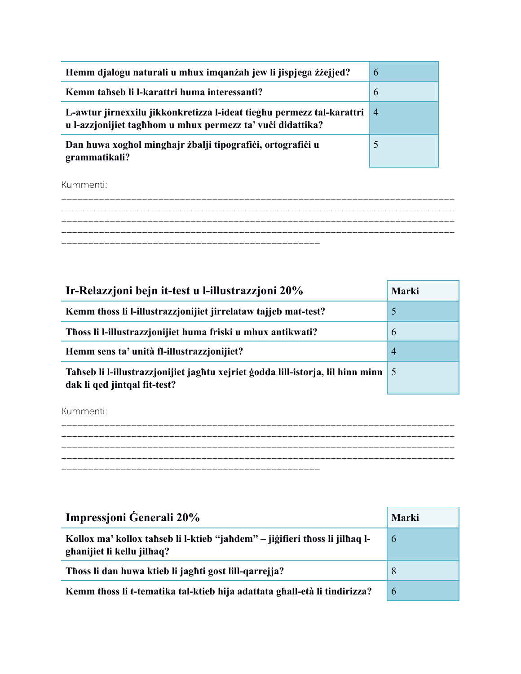| Hemm djalogu naturali u mhux imqanzah jew li jispjega zizejjed?                                                                     | 6              |
|-------------------------------------------------------------------------------------------------------------------------------------|----------------|
| Kemm tahseb li l-karattri huma interessanti?                                                                                        | 6              |
| L-awtur jirnexxilu jikkonkretizza l-ideat tieghu permezz tal-karattri<br>u l-azzjonijiet taghhom u mhux permezz ta' vući didattika? | $\overline{4}$ |
| Dan huwa xoghol minghajr zbalji tipografići, ortografići u<br>grammatikali?                                                         | 5              |

Kummenti:

| Ir-Relazzjoni bejn it-test u l-illustrazzjoni 20%                                                                 | Marki          |
|-------------------------------------------------------------------------------------------------------------------|----------------|
| Kemm thoss li l-illustrazzjonijiet jirrelataw tajjeb mat-test?                                                    | $\mathfrak{H}$ |
| Thoss li l-illustrazzionijiet huma friski u mhux antikwati?                                                       | 6              |
| Hemm sens ta' unità fl-illustrazzionijiet?                                                                        | $\overline{4}$ |
| Tahseb li l-illustrazzjonijiet jaghtu xejriet ģodda lill-istorja, lil hinn minn 5<br>dak li qed jintqal fit-test? |                |

Kummenti:



| Impressjoni Generali 20%                                                                                  | Marki |
|-----------------------------------------------------------------------------------------------------------|-------|
| Kollox ma' kollox tahseb li l-ktieb "jahdem" – jiğifieri thoss li jilhaq l-<br>ghanijiet li kellu jilhaq? | 6     |
| Thoss li dan huwa ktieb li jaghti gost lill-qarrejja?                                                     | 8     |
| Kemm thoss li t-tematika tal-ktieb hija adattata ghall-età li tindirizza?                                 | 6     |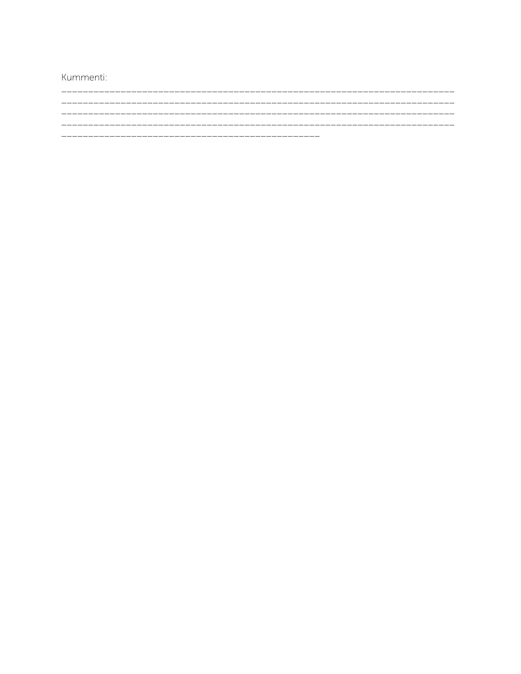Kummenti: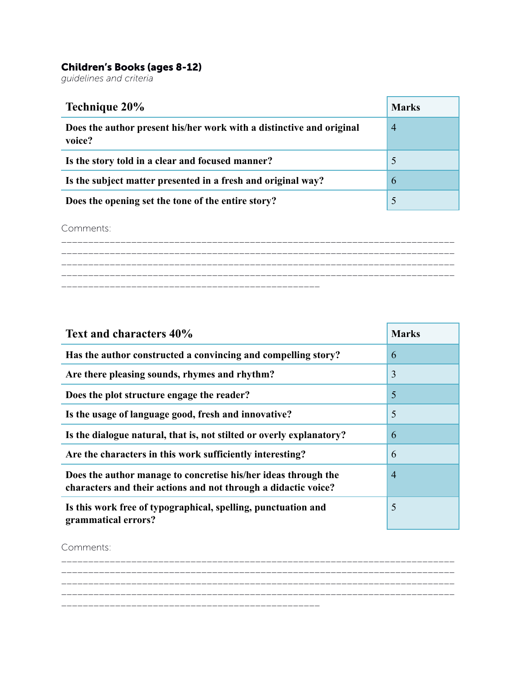## Children's Books (ages 8-12)

*guidelines and criteria* 

| Technique 20%                                                                  | <b>Marks</b>   |
|--------------------------------------------------------------------------------|----------------|
| Does the author present his/her work with a distinctive and original<br>voice? | $\overline{4}$ |
| Is the story told in a clear and focused manner?                               | 5              |
| Is the subject matter presented in a fresh and original way?                   | 6              |
| Does the opening set the tone of the entire story?                             | 5              |

Comments:

\_\_\_\_\_\_\_\_\_\_\_\_\_\_\_\_\_\_\_\_\_\_\_\_\_\_\_\_\_\_\_\_\_\_\_\_\_\_\_\_\_\_\_\_\_\_\_\_\_\_\_\_\_\_\_\_\_\_\_\_\_\_\_\_\_\_\_\_\_\_\_\_\_ \_\_\_\_\_\_\_\_\_\_\_\_\_\_\_\_\_\_\_\_\_\_\_\_\_\_\_\_\_\_\_\_\_\_\_\_\_\_\_\_\_\_\_\_\_\_\_\_\_\_\_\_\_\_\_\_\_\_\_\_\_\_\_\_\_\_\_\_\_\_\_\_\_ \_\_\_\_\_\_\_\_\_\_\_\_\_\_\_\_\_\_\_\_\_\_\_\_\_\_\_\_\_\_\_\_\_\_\_\_\_\_\_\_\_\_\_\_\_\_\_\_\_\_\_\_\_\_\_\_\_\_\_\_\_\_\_\_\_\_\_\_\_\_\_\_\_ \_\_\_\_\_\_\_\_\_\_\_\_\_\_\_\_\_\_\_\_\_\_\_\_\_\_\_\_\_\_\_\_\_\_\_\_\_\_\_\_\_\_\_\_\_\_\_\_\_\_\_\_\_\_\_\_\_\_\_\_\_\_\_\_\_\_\_\_\_\_\_\_\_ \_\_\_\_\_\_\_\_\_\_\_\_\_\_\_\_\_\_\_\_\_\_\_\_\_\_\_\_\_\_\_\_\_\_\_\_\_\_\_\_\_\_\_\_\_\_\_\_

| Text and characters 40%                                                                                                          | <b>Marks</b>   |
|----------------------------------------------------------------------------------------------------------------------------------|----------------|
| Has the author constructed a convincing and compelling story?                                                                    | 6              |
| Are there pleasing sounds, rhymes and rhythm?                                                                                    | 3              |
| Does the plot structure engage the reader?                                                                                       | 5              |
| Is the usage of language good, fresh and innovative?                                                                             | 5              |
| Is the dialogue natural, that is, not stilted or overly explanatory?                                                             | 6              |
| Are the characters in this work sufficiently interesting?                                                                        | 6              |
| Does the author manage to concretise his/her ideas through the<br>characters and their actions and not through a didactic voice? | $\overline{4}$ |
| Is this work free of typographical, spelling, punctuation and<br>grammatical errors?                                             | 5              |

Comments:

\_\_\_\_\_\_\_\_\_\_\_\_\_\_\_\_\_\_\_\_\_\_\_\_\_\_\_\_ \_\_\_\_\_\_\_\_\_\_\_\_\_\_\_\_\_\_\_\_\_\_\_\_\_\_\_\_\_\_\_\_\_\_\_\_\_\_\_\_\_\_\_\_\_\_\_\_\_\_\_\_\_\_\_\_\_\_\_\_\_\_\_\_\_\_\_\_\_\_\_\_\_ \_\_\_\_\_\_\_\_\_\_\_\_\_\_\_\_\_\_\_\_\_\_\_\_\_\_\_\_\_\_\_\_\_\_\_\_\_\_\_\_\_\_\_\_\_\_\_\_\_\_\_\_\_\_\_\_\_\_\_\_\_\_\_\_\_\_\_\_\_\_\_\_\_ \_\_\_\_\_\_\_\_\_\_\_\_\_\_\_\_\_\_\_\_\_\_\_\_\_\_\_\_\_\_\_\_\_\_\_\_\_\_\_\_\_\_\_\_\_\_\_\_\_\_\_\_\_\_\_\_\_\_\_\_\_\_\_\_\_\_\_\_\_\_\_\_\_ \_\_\_\_\_\_\_\_\_\_\_\_\_\_\_\_\_\_\_\_\_\_\_\_\_\_\_\_\_\_\_\_\_\_\_\_\_\_\_\_\_\_\_\_\_\_\_\_